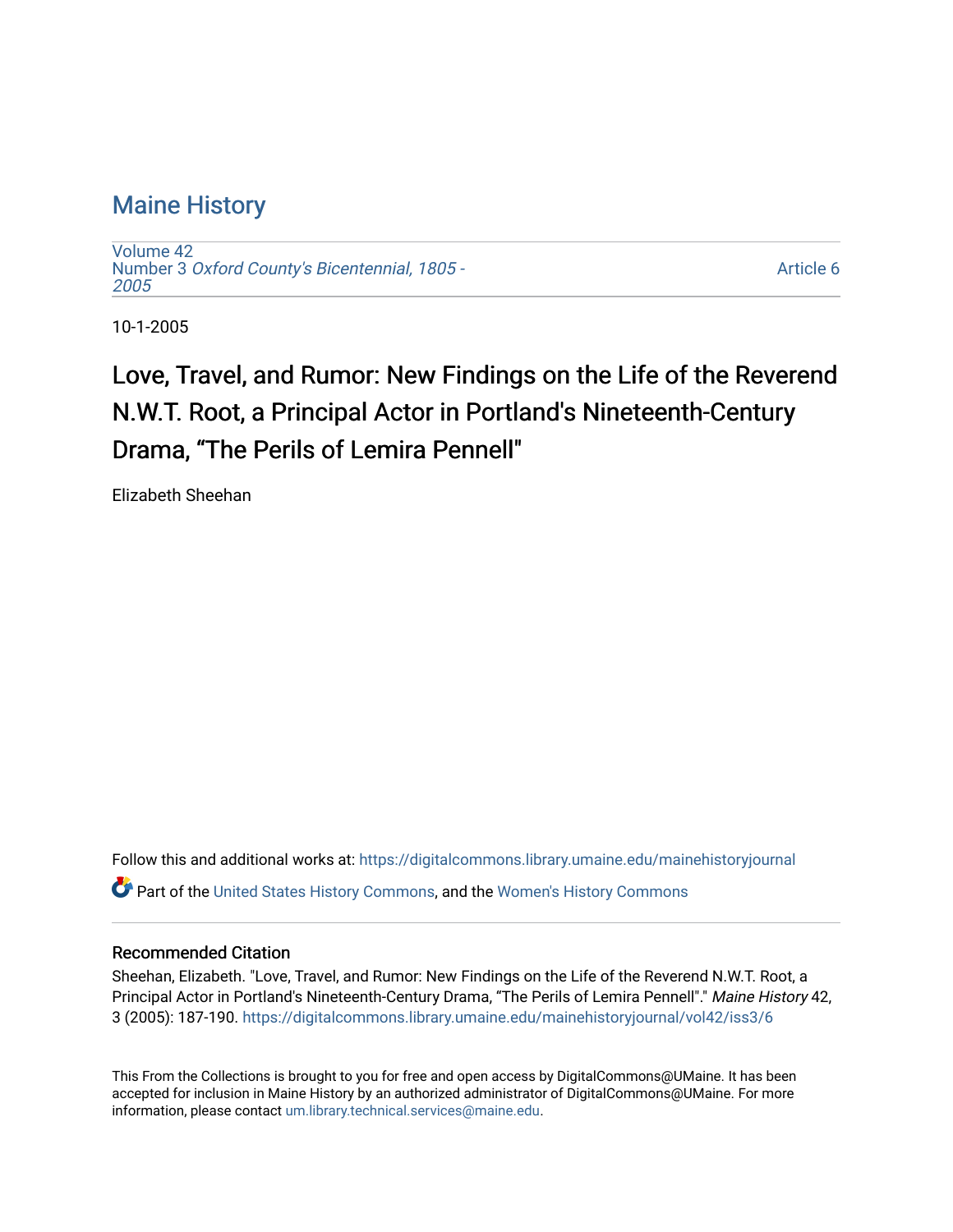### [Maine History](https://digitalcommons.library.umaine.edu/mainehistoryjournal)

[Volume 42](https://digitalcommons.library.umaine.edu/mainehistoryjournal/vol42) Number 3 [Oxford County's Bicentennial, 1805 -](https://digitalcommons.library.umaine.edu/mainehistoryjournal/vol42/iss3) [2005](https://digitalcommons.library.umaine.edu/mainehistoryjournal/vol42/iss3) 

[Article 6](https://digitalcommons.library.umaine.edu/mainehistoryjournal/vol42/iss3/6) 

10-1-2005

## Love, Travel, and Rumor: New Findings on the Life of the Reverend N.W.T. Root, a Principal Actor in Portland's Nineteenth-Century Drama, "The Perils of Lemira Pennell"

Elizabeth Sheehan

Follow this and additional works at: [https://digitalcommons.library.umaine.edu/mainehistoryjournal](https://digitalcommons.library.umaine.edu/mainehistoryjournal?utm_source=digitalcommons.library.umaine.edu%2Fmainehistoryjournal%2Fvol42%2Fiss3%2F6&utm_medium=PDF&utm_campaign=PDFCoverPages)  Part of the [United States History Commons,](http://network.bepress.com/hgg/discipline/495?utm_source=digitalcommons.library.umaine.edu%2Fmainehistoryjournal%2Fvol42%2Fiss3%2F6&utm_medium=PDF&utm_campaign=PDFCoverPages) and the [Women's History Commons](http://network.bepress.com/hgg/discipline/507?utm_source=digitalcommons.library.umaine.edu%2Fmainehistoryjournal%2Fvol42%2Fiss3%2F6&utm_medium=PDF&utm_campaign=PDFCoverPages)

#### Recommended Citation

Sheehan, Elizabeth. "Love, Travel, and Rumor: New Findings on the Life of the Reverend N.W.T. Root, a Principal Actor in Portland's Nineteenth-Century Drama, "The Perils of Lemira Pennell"." Maine History 42, 3 (2005): 187-190. [https://digitalcommons.library.umaine.edu/mainehistoryjournal/vol42/iss3/6](https://digitalcommons.library.umaine.edu/mainehistoryjournal/vol42/iss3/6?utm_source=digitalcommons.library.umaine.edu%2Fmainehistoryjournal%2Fvol42%2Fiss3%2F6&utm_medium=PDF&utm_campaign=PDFCoverPages) 

This From the Collections is brought to you for free and open access by DigitalCommons@UMaine. It has been accepted for inclusion in Maine History by an authorized administrator of DigitalCommons@UMaine. For more information, please contact [um.library.technical.services@maine.edu](mailto:um.library.technical.services@maine.edu).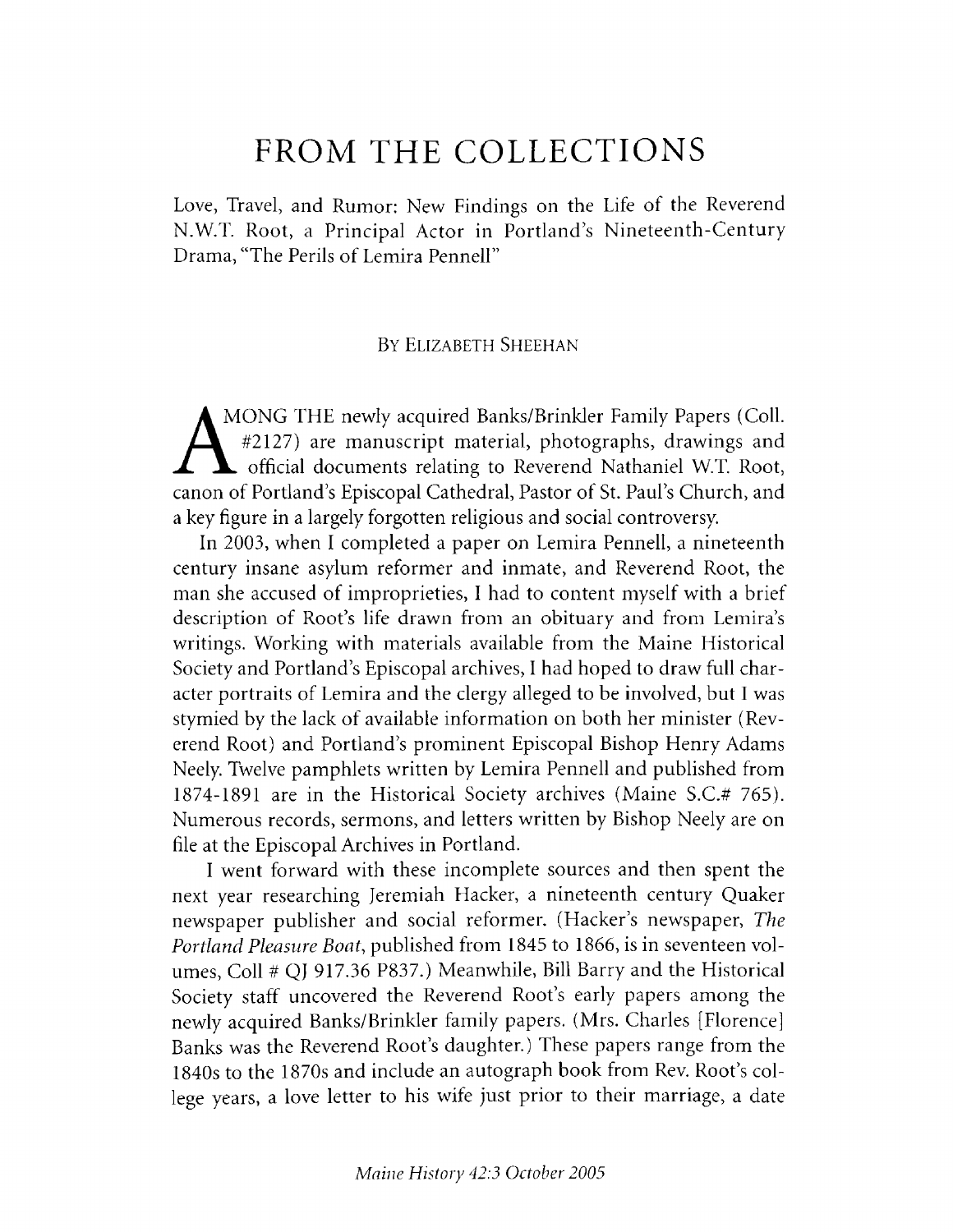# **FROM THE COLLECTIONS**

Love, Travel, and Rumor: New Findings on the Life of the Reverend N.W.T. Root, a Principal Actor in Portland's Nineteenth-Century Drama, "The Perils of Lemira Pennell"

#### BY ELIZABETH SHEEHAN

**A** MONG THE newly acquired Banks/Brinkler Family Papers (Coll. *L \* #2127) are manuscript material, photographs, drawings and A official documents relating to Reverend Nathaniel W.T. Root, canon of Portland's Episcopal Cathedral, Pastor of St. Paul's Church, and a key figure in a largely forgotten religious and social controversy.

In 2003, when I completed a paper on Lemira Pennell, a nineteenth century insane asylum reformer and inmate, and Reverend Root, the man she accused of improprieties, I had to content myself with a brief description of Root's life drawn from an obituary and from Lemira's writings. Working with materials available from the Maine Historical Society and Portland's Episcopal archives, I had hoped to draw full character portraits of Lemira and the clergy alleged to be involved, but I was stymied by the lack of available information on both her minister (Reverend Root) and Portland's prominent Episcopal Bishop Henry Adams Neely. Twelve pamphlets written by Lemira Pennell and published from 1874-1891 are in the Historical Society archives (Maine S.C.# 765). Numerous records, sermons, and letters written by Bishop Neely are on file at the Episcopal Archives in Portland.

I went forward with these incomplete sources and then spent the next year researching Jeremiah Hacker, a nineteenth century Quaker newspaper publisher and social reformer. (Hacker's newspaper, *The* Portland Pleasure Boat, published from 1845 to 1866, is in seventeen volumes, Coll # QJ 917.36 P837.) Meanwhile, Bill Barry and the Historical Society staff uncovered the Reverend Root's early papers among the newly acquired Banks/Brinkler family papers. (Mrs. Charles [Florence] Banks was the Reverend Root's daughter.) These papers range from the 1840s to the 1870s and include an autograph book from Rev. Root's college years, a love letter to his wife just prior to their marriage, a date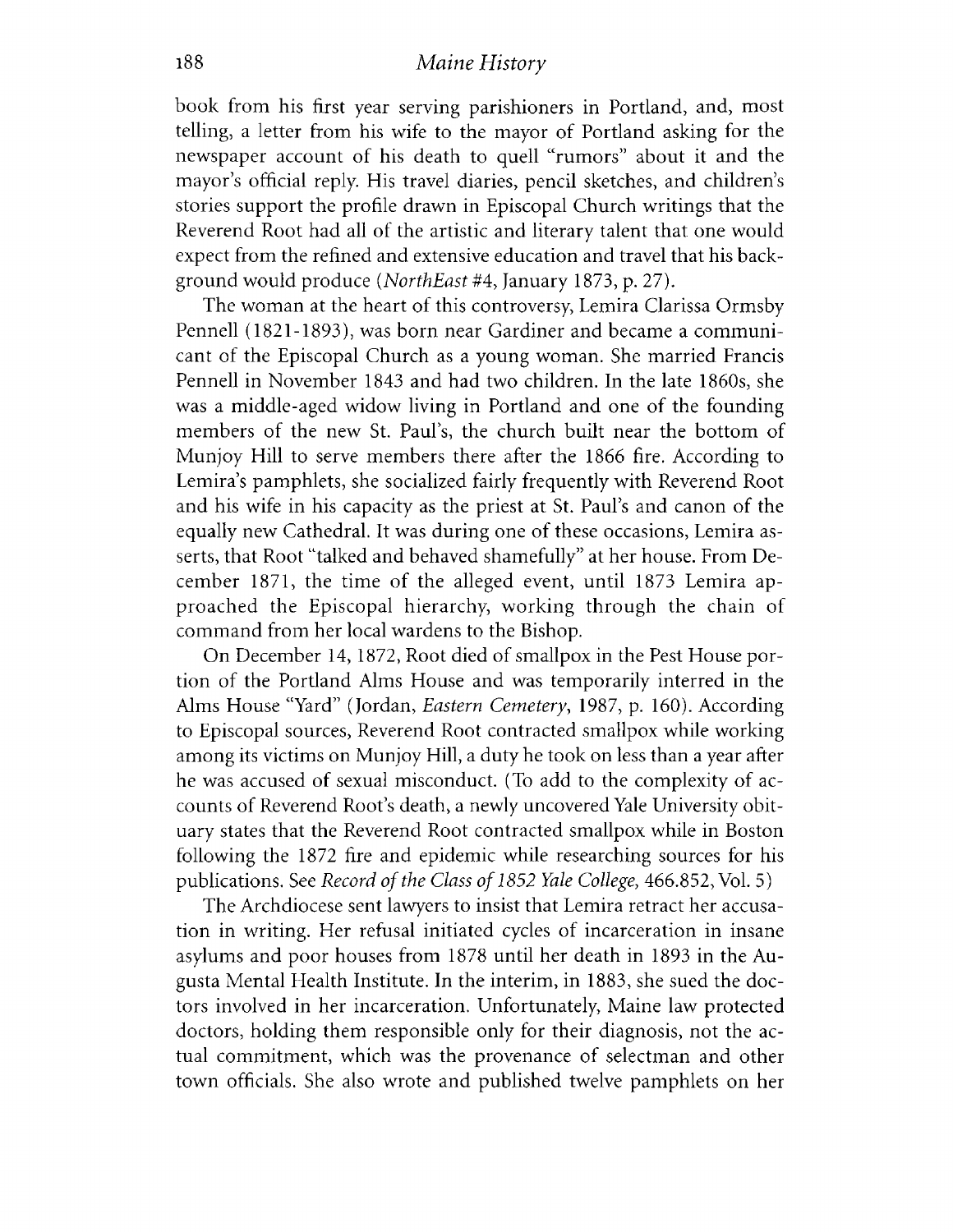book from his first year serving parishioners in Portland, and, most telling, a letter from his wife to the mayor of Portland asking for the newspaper account of his death to quell "rumors" about it and the mayor's official reply. His travel diaries, pencil sketches, and children's stories support the profile drawn in Episcopal Church writings that the Reverend Root had all of the artistic and literary talent that one would expect from the refined and extensive education and travel that his background would produce *(NorthEast* #4, January 1873, p. 27).

The woman at the heart of this controversy, Lemira Clarissa Ormsby Pennell (1821-1893), was born near Gardiner and became a communicant of the Episcopal Church as a young woman. She married Francis Pennell in November 1843 and had two children. In the late 1860s, she was a middle-aged widow living in Portland and one of the founding members of the new St. Paul's, the church built near the bottom of Munjoy Hill to serve members there after the 1866 fire. According to Lemira's pamphlets, she socialized fairly frequently with Reverend Root and his wife in his capacity as the priest at St. Paul's and canon of the equally new Cathedral. It was during one of these occasions, Lemira asserts, that Root "talked and behaved shamefully" at her house. From December 1871, the time of the alleged event, until 1873 Lemira approached the Episcopal hierarchy, working through the chain of command from her local wardens to the Bishop.

On December 14, 1872, Root died of smallpox in the Pest House portion of the Portland Alms House and was temporarily interred in the Alms House "Yard" (Jordan, *Eastern Cemetery*, 1987, p. 160). According to Episcopal sources, Reverend Root contracted smallpox while working among its victims on Munjoy Hill, a duty he took on less than a year after he was accused of sexual misconduct. (To add to the complexity of accounts of Reverend Root's death, a newly uncovered Yale University obituary states that the Reverend Root contracted smallpox while in Boston following the 1872 fire and epidemic while researching sources for his publications. See *Record of the Class of 1852 Yale College*, 466.852, Vol. 5)

The Archdiocese sent lawyers to insist that Lemira retract her accusation in writing. Her refusal initiated cycles of incarceration in insane asylums and poor houses from 1878 until her death in 1893 in the Augusta Mental Health Institute. In the interim, in 1883, she sued the doctors involved in her incarceration. Unfortunately, Maine law protected doctors, holding them responsible only for their diagnosis, not the actual commitment, which was the provenance of selectman and other town officials. She also wrote and published twelve pamphlets on her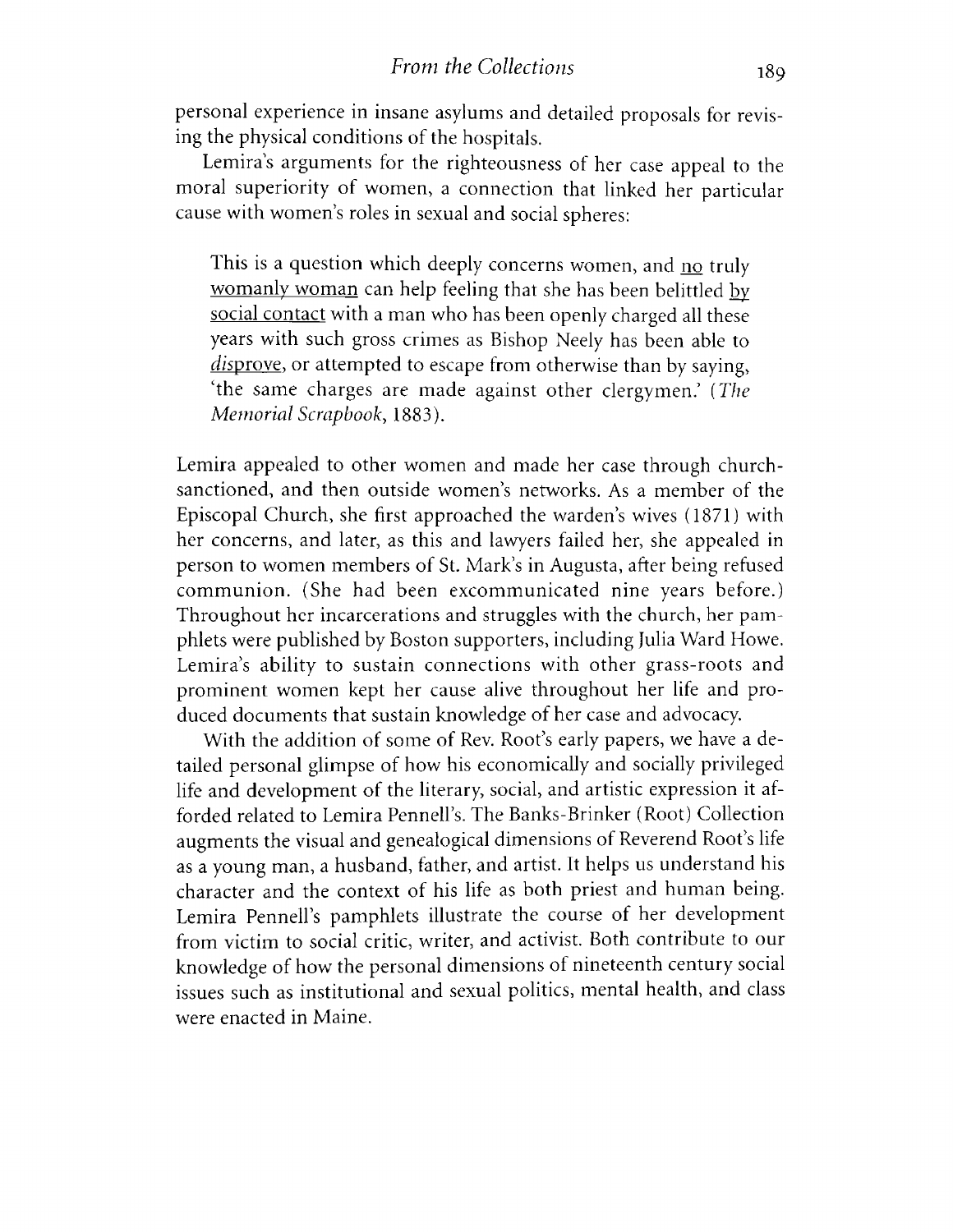personal experience in insane asylums and detailed proposals for revising the physical conditions of the hospitals.

Lemira's arguments for the righteousness of her case appeal to the moral superiority of women, a connection that linked her particular cause with women's roles in sexual and social spheres:

This is a question which deeply concerns women, and no truly womanly woman can help feeling that she has been belittled by social contact with a man who has been openly charged all these years with such gross crimes as Bishop Neely has been able to disprove, or attempted to escape from otherwise than by saying, The same charges are made against other clergymen.' *( The Memorial Scrapbook*, 1883).

Lemira appealed to other women and made her case through churchsanctioned, and then outside women's networks. As a member of the Episcopal Church, she first approached the warden's wives (1871) with her concerns, and later, as this and lawyers failed her, she appealed in person to women members of St. Mark's in Augusta, after being refused communion. (She had been excommunicated nine years before.) Throughout her incarcerations and struggles with the church, her pamphlets were published by Boston supporters, including Julia Ward Howe. Lemira's ability to sustain connections with other grass-roots and prominent women kept her cause alive throughout her life and produced documents that sustain knowledge of her case and advocacy.

With the addition of some of Rev. Root's early papers, we have a detailed personal glimpse of how his economically and socially privileged life and development of the literary, social, and artistic expression it afforded related to Lemira Pennell's. The Banks-Brinker (Root) Collection augments the visual and genealogical dimensions of Reverend Root's life as a young man, a husband, father, and artist. It helps us understand his character and the context of his life as both priest and human being. Lemira Pennell's pamphlets illustrate the course of her development from victim to social critic, writer, and activist. Both contribute to our knowledge of how the personal dimensions of nineteenth century social issues such as institutional and sexual politics, mental health, and class were enacted in Maine.